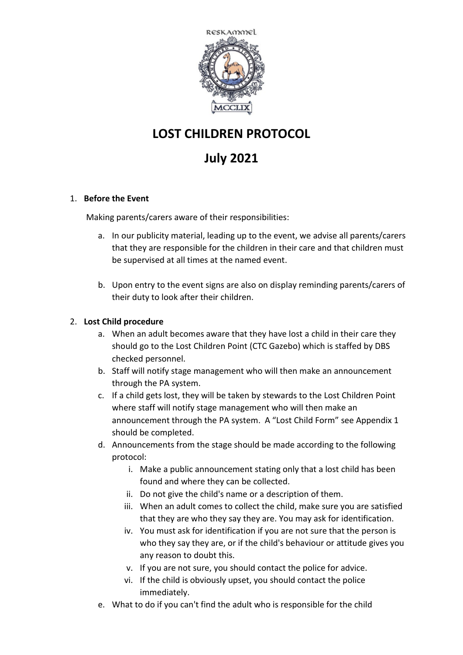

## **LOST CHILDREN PROTOCOL**

## **July 2021**

#### 1. **Before the Event**

Making parents/carers aware of their responsibilities:

- a. In our publicity material, leading up to the event, we advise all parents/carers that they are responsible for the children in their care and that children must be supervised at all times at the named event.
- b. Upon entry to the event signs are also on display reminding parents/carers of their duty to look after their children.

#### 2. **Lost Child procedure**

- a. When an adult becomes aware that they have lost a child in their care they should go to the Lost Children Point (CTC Gazebo) which is staffed by DBS checked personnel.
- b. Staff will notify stage management who will then make an announcement through the PA system.
- c. If a child gets lost, they will be taken by stewards to the Lost Children Point where staff will notify stage management who will then make an announcement through the PA system. A "Lost Child Form" see Appendix 1 should be completed.
- d. Announcements from the stage should be made according to the following protocol:
	- i. Make a public announcement stating only that a lost child has been found and where they can be collected.
	- ii. Do not give the child's name or a description of them.
	- iii. When an adult comes to collect the child, make sure you are satisfied that they are who they say they are. You may ask for identification.
	- iv. You must ask for identification if you are not sure that the person is who they say they are, or if the child's behaviour or attitude gives you any reason to doubt this.
	- v. If you are not sure, you should contact the police for advice.
	- vi. If the child is obviously upset, you should contact the police immediately.
- e. What to do if you can't find the adult who is responsible for the child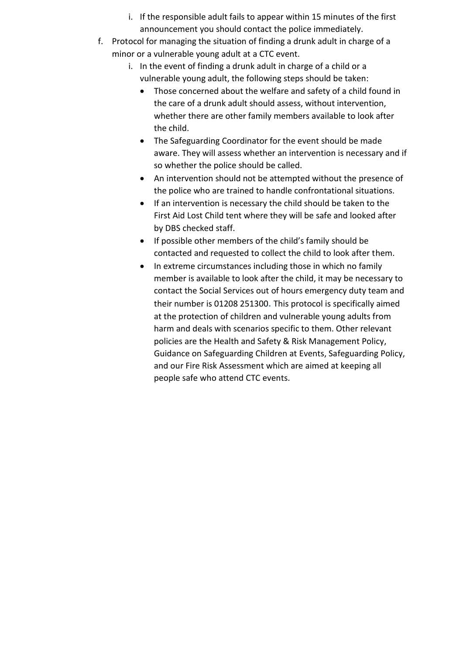- i. If the responsible adult fails to appear within 15 minutes of the first announcement you should contact the police immediately.
- f. Protocol for managing the situation of finding a drunk adult in charge of a minor or a vulnerable young adult at a CTC event.
	- i. In the event of finding a drunk adult in charge of a child or a vulnerable young adult, the following steps should be taken:
		- Those concerned about the welfare and safety of a child found in the care of a drunk adult should assess, without intervention, whether there are other family members available to look after the child.
		- The Safeguarding Coordinator for the event should be made aware. They will assess whether an intervention is necessary and if so whether the police should be called.
		- An intervention should not be attempted without the presence of the police who are trained to handle confrontational situations.
		- If an intervention is necessary the child should be taken to the First Aid Lost Child tent where they will be safe and looked after by DBS checked staff.
		- If possible other members of the child's family should be contacted and requested to collect the child to look after them.
		- In extreme circumstances including those in which no family member is available to look after the child, it may be necessary to contact the Social Services out of hours emergency duty team and their number is 01208 251300**.** This protocol is specifically aimed at the protection of children and vulnerable young adults from harm and deals with scenarios specific to them. Other relevant policies are the Health and Safety & Risk Management Policy, Guidance on Safeguarding Children at Events, Safeguarding Policy, and our Fire Risk Assessment which are aimed at keeping all people safe who attend CTC events.